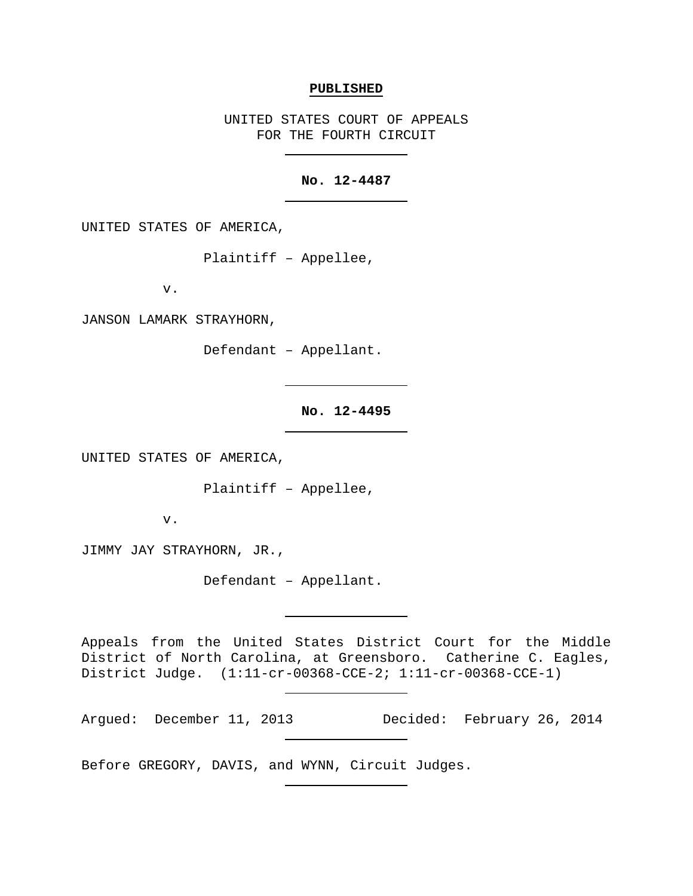#### **PUBLISHED**

UNITED STATES COURT OF APPEALS FOR THE FOURTH CIRCUIT

# **No. 12-4487**

UNITED STATES OF AMERICA,

Plaintiff – Appellee,

v.

JANSON LAMARK STRAYHORN,

Defendant – Appellant.

## **No. 12-4495**

UNITED STATES OF AMERICA,

Plaintiff – Appellee,

v.

JIMMY JAY STRAYHORN, JR.,

Defendant – Appellant.

Appeals from the United States District Court for the Middle District of North Carolina, at Greensboro. Catherine C. Eagles, District Judge. (1:11-cr-00368-CCE-2; 1:11-cr-00368-CCE-1)

Argued: December 11, 2013 Decided: February 26, 2014

Before GREGORY, DAVIS, and WYNN, Circuit Judges.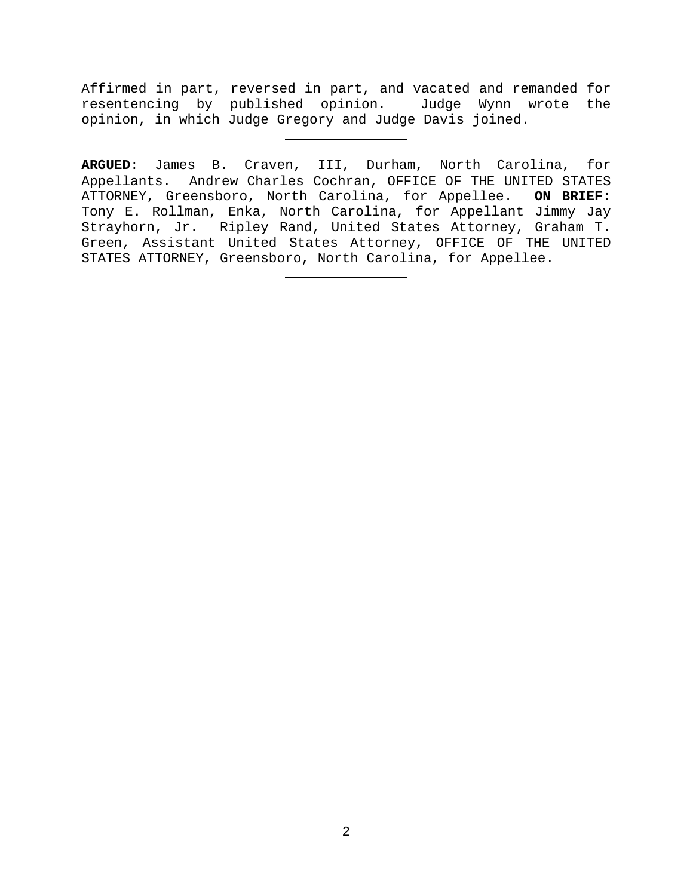Affirmed in part, reversed in part, and vacated and remanded for resentencing by published opinion. Judge Wynn wrote the opinion, in which Judge Gregory and Judge Davis joined.

**ARGUED**: James B. Craven, III, Durham, North Carolina, for Appellants. Andrew Charles Cochran, OFFICE OF THE UNITED STATES<br>ATTORNEY, Greensboro, North Carolina, for Appellee. ON BRIEF: ATTORNEY, Greensboro, North Carolina, for Appellee. Tony E. Rollman, Enka, North Carolina, for Appellant Jimmy Jay Strayhorn, Jr. Ripley Rand, United States Attorney, Graham T. Green, Assistant United States Attorney, OFFICE OF THE UNITED STATES ATTORNEY, Greensboro, North Carolina, for Appellee.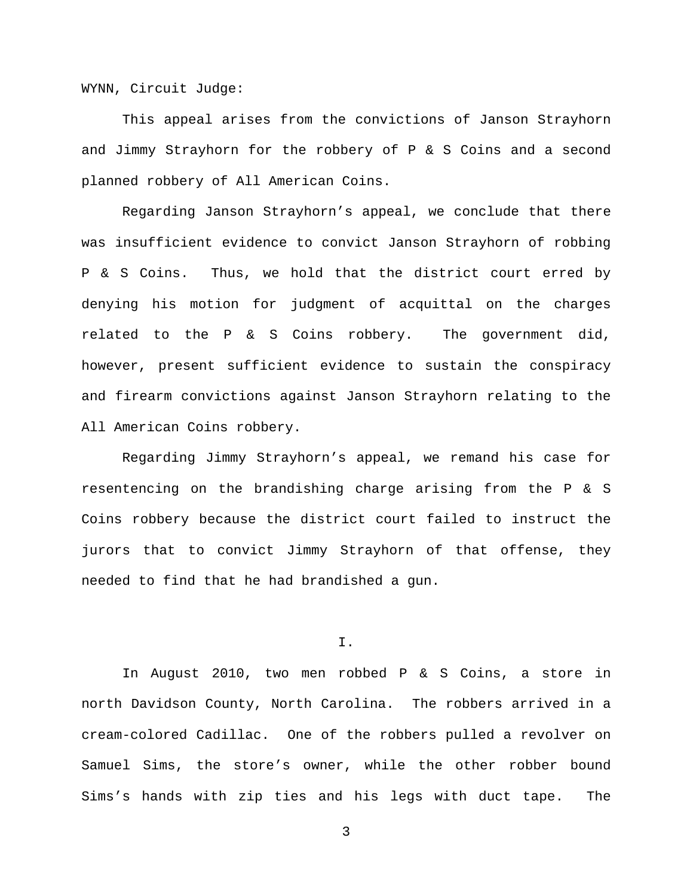WYNN, Circuit Judge:

This appeal arises from the convictions of Janson Strayhorn and Jimmy Strayhorn for the robbery of P & S Coins and a second planned robbery of All American Coins.

Regarding Janson Strayhorn's appeal, we conclude that there was insufficient evidence to convict Janson Strayhorn of robbing P & S Coins. Thus, we hold that the district court erred by denying his motion for judgment of acquittal on the charges related to the P & S Coins robbery. The government did, however, present sufficient evidence to sustain the conspiracy and firearm convictions against Janson Strayhorn relating to the All American Coins robbery.

Regarding Jimmy Strayhorn's appeal, we remand his case for resentencing on the brandishing charge arising from the P & S Coins robbery because the district court failed to instruct the jurors that to convict Jimmy Strayhorn of that offense, they needed to find that he had brandished a gun.

## I.

In August 2010, two men robbed P & S Coins, a store in north Davidson County, North Carolina. The robbers arrived in a cream-colored Cadillac. One of the robbers pulled a revolver on Samuel Sims, the store's owner, while the other robber bound Sims's hands with zip ties and his legs with duct tape. The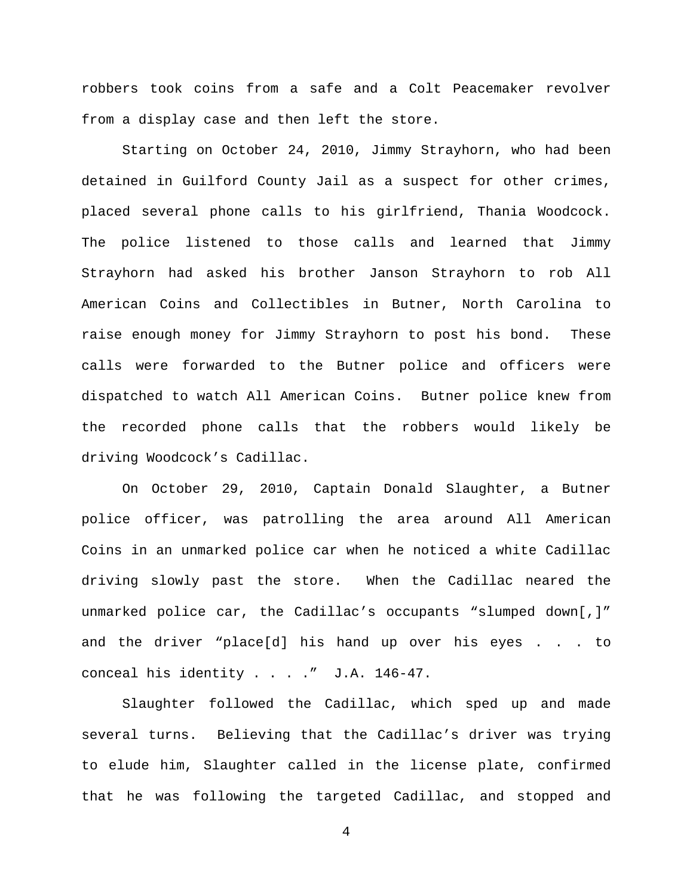robbers took coins from a safe and a Colt Peacemaker revolver from a display case and then left the store.

Starting on October 24, 2010, Jimmy Strayhorn, who had been detained in Guilford County Jail as a suspect for other crimes, placed several phone calls to his girlfriend, Thania Woodcock. The police listened to those calls and learned that Jimmy Strayhorn had asked his brother Janson Strayhorn to rob All American Coins and Collectibles in Butner, North Carolina to raise enough money for Jimmy Strayhorn to post his bond. These calls were forwarded to the Butner police and officers were dispatched to watch All American Coins. Butner police knew from the recorded phone calls that the robbers would likely be driving Woodcock's Cadillac.

On October 29, 2010, Captain Donald Slaughter, a Butner police officer, was patrolling the area around All American Coins in an unmarked police car when he noticed a white Cadillac driving slowly past the store. When the Cadillac neared the unmarked police car, the Cadillac's occupants "slumped down[,]" and the driver "place[d] his hand up over his eyes . . . to conceal his identity . . . ." J.A. 146-47.

Slaughter followed the Cadillac, which sped up and made several turns. Believing that the Cadillac's driver was trying to elude him, Slaughter called in the license plate, confirmed that he was following the targeted Cadillac, and stopped and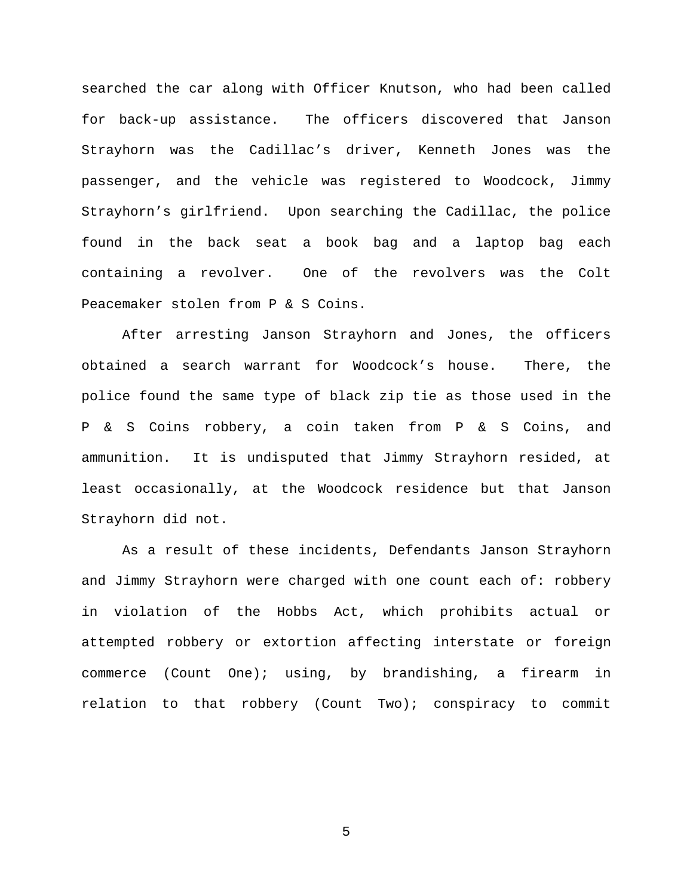searched the car along with Officer Knutson, who had been called for back-up assistance. The officers discovered that Janson Strayhorn was the Cadillac's driver, Kenneth Jones was the passenger, and the vehicle was registered to Woodcock, Jimmy Strayhorn's girlfriend. Upon searching the Cadillac, the police found in the back seat a book bag and a laptop bag each containing a revolver. One of the revolvers was the Colt Peacemaker stolen from P & S Coins.

After arresting Janson Strayhorn and Jones, the officers obtained a search warrant for Woodcock's house. There, the police found the same type of black zip tie as those used in the P & S Coins robbery, a coin taken from P & S Coins, and ammunition. It is undisputed that Jimmy Strayhorn resided, at least occasionally, at the Woodcock residence but that Janson Strayhorn did not.

As a result of these incidents, Defendants Janson Strayhorn and Jimmy Strayhorn were charged with one count each of: robbery in violation of the Hobbs Act, which prohibits actual or attempted robbery or extortion affecting interstate or foreign commerce (Count One); using, by brandishing, a firearm in relation to that robbery (Count Two); conspiracy to commit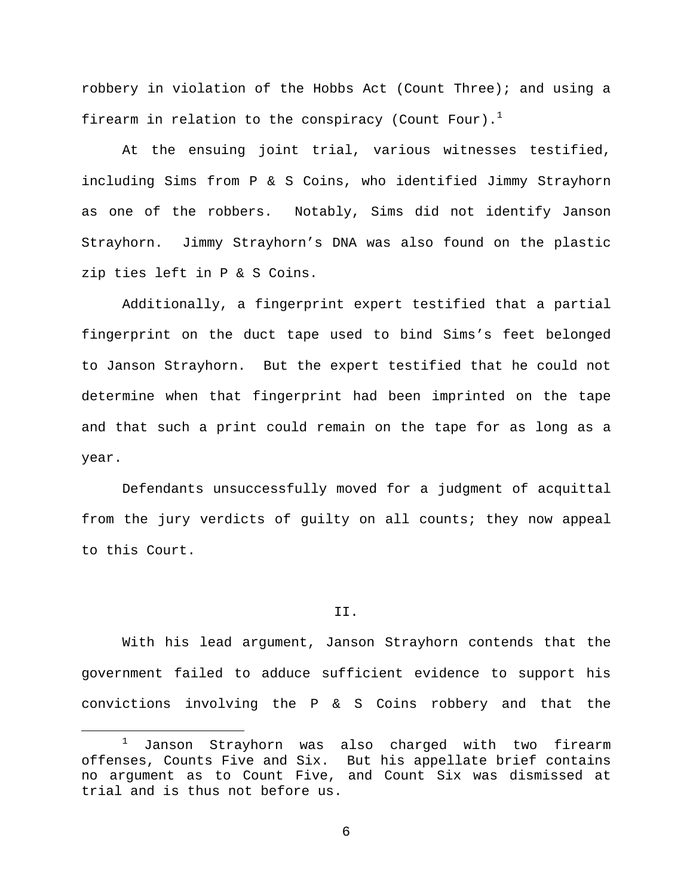robbery in violation of the Hobbs Act (Count Three); and using a firearm in relation to the conspiracy (Count Four).<sup>1</sup>

At the ensuing joint trial, various witnesses testified, including Sims from P & S Coins, who identified Jimmy Strayhorn as one of the robbers. Notably, Sims did not identify Janson Strayhorn. Jimmy Strayhorn's DNA was also found on the plastic zip ties left in P & S Coins.

Additionally, a fingerprint expert testified that a partial fingerprint on the duct tape used to bind Sims's feet belonged to Janson Strayhorn. But the expert testified that he could not determine when that fingerprint had been imprinted on the tape and that such a print could remain on the tape for as long as a year.

Defendants unsuccessfully moved for a judgment of acquittal from the jury verdicts of guilty on all counts; they now appeal to this Court.

### II.

With his lead argument, Janson Strayhorn contends that the government failed to adduce sufficient evidence to support his convictions involving the P & S Coins robbery and that the

 <sup>1</sup> Janson Strayhorn was also charged with two firearm offenses, Counts Five and Six. But his appellate brief contains no argument as to Count Five, and Count Six was dismissed at trial and is thus not before us.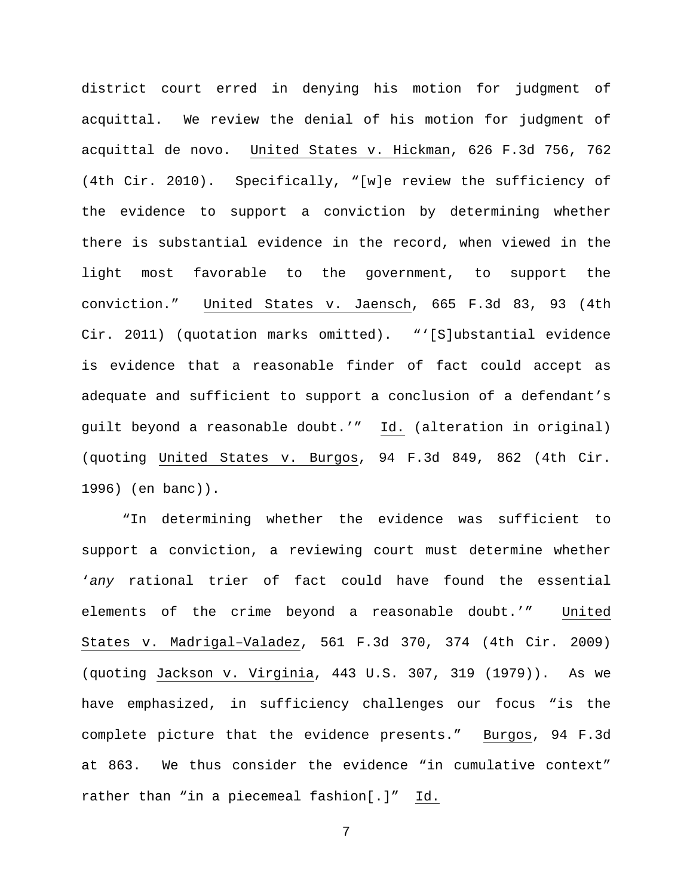district court erred in denying his motion for judgment of acquittal. We review the denial of his motion for judgment of acquittal de novo. United States v. Hickman, 626 F.3d 756, 762 (4th Cir. 2010). Specifically, "[w]e review the sufficiency of the evidence to support a conviction by determining whether there is substantial evidence in the record, when viewed in the light most favorable to the government, to support the conviction." United States v. Jaensch, 665 F.3d 83, 93 (4th Cir. 2011) (quotation marks omitted). "'[S]ubstantial evidence is evidence that a reasonable finder of fact could accept as adequate and sufficient to support a conclusion of a defendant's guilt beyond a reasonable doubt.'" Id. (alteration in original) (quoting United States v. Burgos, 94 F.3d 849, 862 (4th Cir. 1996) (en banc)).

"In determining whether the evidence was sufficient to support a conviction, a reviewing court must determine whether '*any* rational trier of fact could have found the essential elements of the crime beyond a reasonable doubt.'" United States v. Madrigal–Valadez, 561 F.3d 370, 374 (4th Cir. 2009) (quoting Jackson v. Virginia, 443 U.S. 307, 319 (1979)). As we have emphasized, in sufficiency challenges our focus "is the complete picture that the evidence presents." Burgos, 94 F.3d at 863. We thus consider the evidence "in cumulative context" rather than "in a piecemeal fashion[.]" Id.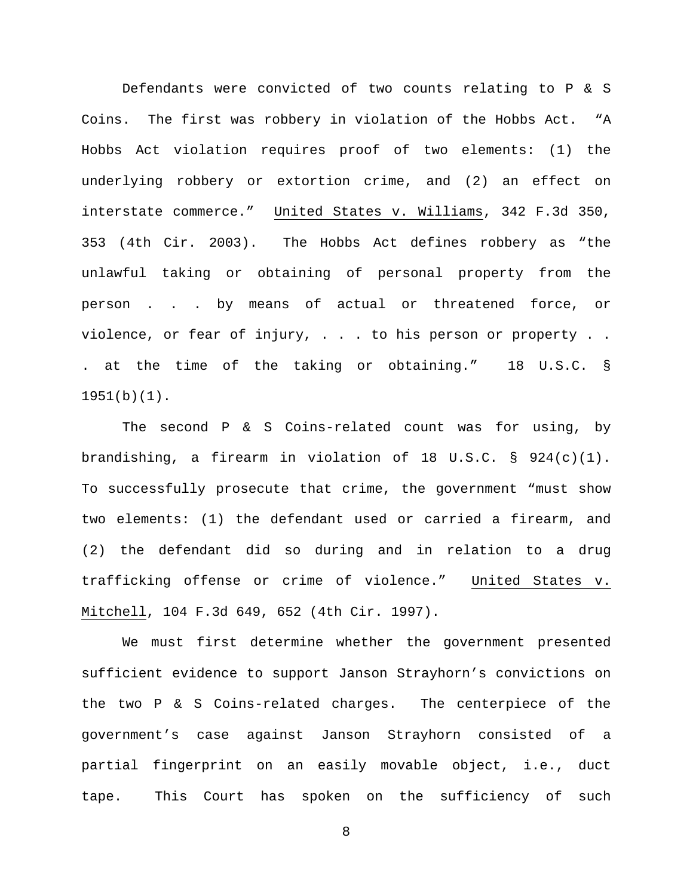Defendants were convicted of two counts relating to P & S Coins. The first was robbery in violation of the Hobbs Act. "A Hobbs Act violation requires proof of two elements: (1) the underlying robbery or extortion crime, and (2) an effect on interstate commerce." United States v. Williams, 342 F.3d 350, 353 (4th Cir. 2003). The Hobbs Act defines robbery as "the unlawful taking or obtaining of personal property from the person . . . by means of actual or threatened force, or violence, or fear of injury, . . . to his person or property . . . at the time of the taking or obtaining." 18 U.S.C. § 1951(b)(1).

The second P & S Coins-related count was for using, by brandishing, a firearm in violation of 18 U.S.C. § 924(c)(1). To successfully prosecute that crime, the government "must show two elements: (1) the defendant used or carried a firearm, and (2) the defendant did so during and in relation to a drug trafficking offense or crime of violence." United States v. Mitchell, 104 F.3d 649, 652 (4th Cir. 1997).

We must first determine whether the government presented sufficient evidence to support Janson Strayhorn's convictions on the two P & S Coins-related charges. The centerpiece of the government's case against Janson Strayhorn consisted of a partial fingerprint on an easily movable object, i.e., duct tape. This Court has spoken on the sufficiency of such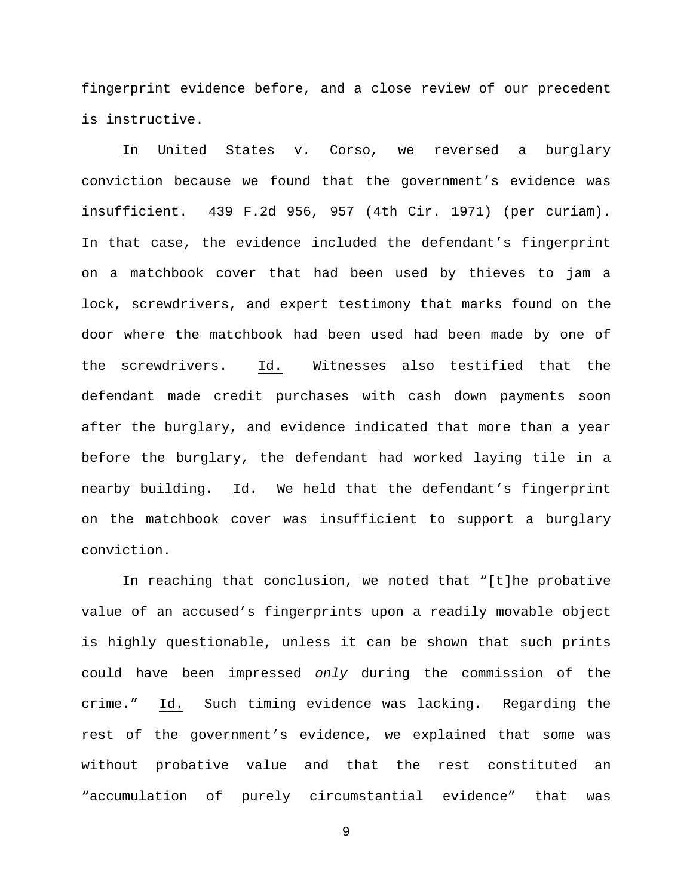fingerprint evidence before, and a close review of our precedent is instructive.

In United States v. Corso, we reversed a burglary conviction because we found that the government's evidence was insufficient. 439 F.2d 956, 957 (4th Cir. 1971) (per curiam). In that case, the evidence included the defendant's fingerprint on a matchbook cover that had been used by thieves to jam a lock, screwdrivers, and expert testimony that marks found on the door where the matchbook had been used had been made by one of the screwdrivers. Id. Witnesses also testified that the defendant made credit purchases with cash down payments soon after the burglary, and evidence indicated that more than a year before the burglary, the defendant had worked laying tile in a nearby building. Id. We held that the defendant's fingerprint on the matchbook cover was insufficient to support a burglary conviction.

In reaching that conclusion, we noted that "[t]he probative value of an accused's fingerprints upon a readily movable object is highly questionable, unless it can be shown that such prints could have been impressed *only* during the commission of the crime." Id. Such timing evidence was lacking. Regarding the rest of the government's evidence, we explained that some was without probative value and that the rest constituted an "accumulation of purely circumstantial evidence" that was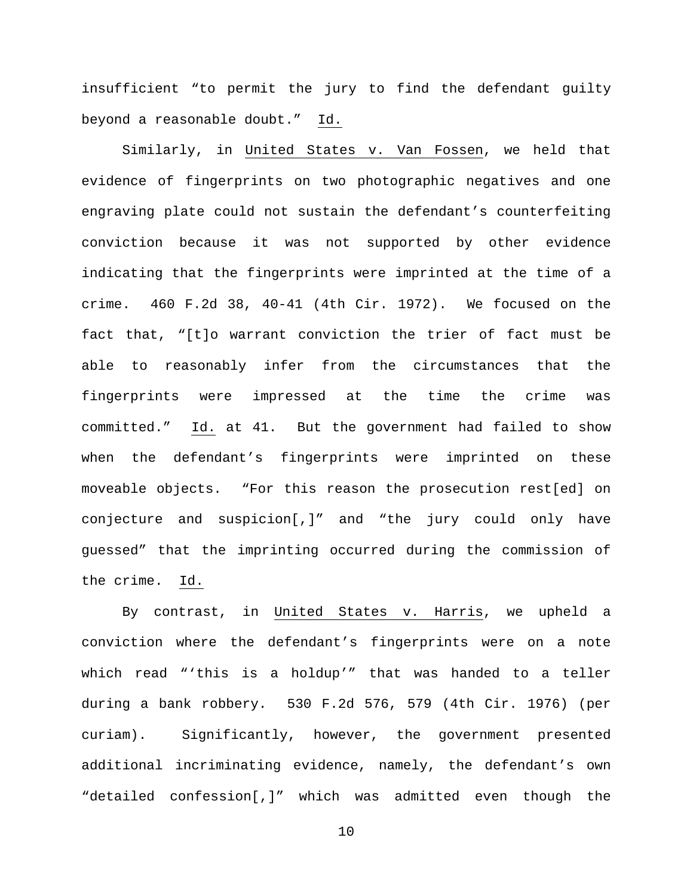insufficient "to permit the jury to find the defendant guilty beyond a reasonable doubt." Id.

Similarly, in United States v. Van Fossen, we held that evidence of fingerprints on two photographic negatives and one engraving plate could not sustain the defendant's counterfeiting conviction because it was not supported by other evidence indicating that the fingerprints were imprinted at the time of a crime. 460 F.2d 38, 40-41 (4th Cir. 1972). We focused on the fact that, "[t]o warrant conviction the trier of fact must be able to reasonably infer from the circumstances that the fingerprints were impressed at the time the crime was committed." Id. at 41. But the government had failed to show when the defendant's fingerprints were imprinted on these moveable objects. "For this reason the prosecution rest[ed] on conjecture and suspicion[,]" and "the jury could only have guessed" that the imprinting occurred during the commission of the crime. Id.

By contrast, in United States v. Harris, we upheld a conviction where the defendant's fingerprints were on a note which read "'this is a holdup'" that was handed to a teller during a bank robbery. 530 F.2d 576, 579 (4th Cir. 1976) (per curiam). Significantly, however, the government presented additional incriminating evidence, namely, the defendant's own "detailed confession[,]" which was admitted even though the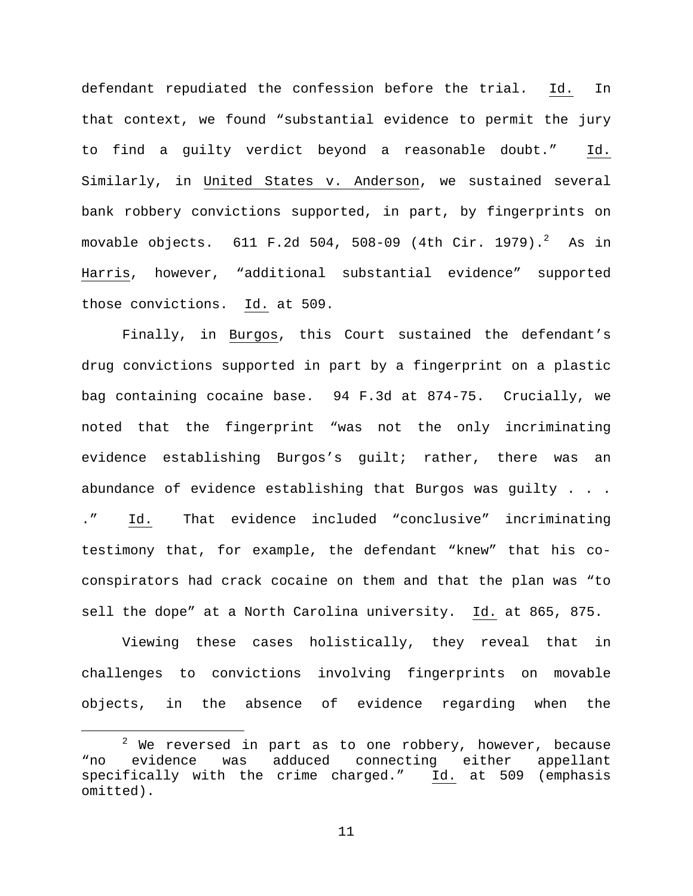defendant repudiated the confession before the trial. Id. In that context, we found "substantial evidence to permit the jury to find a guilty verdict beyond a reasonable doubt." Id. Similarly, in United States v. Anderson, we sustained several bank robbery convictions supported, in part, by fingerprints on movable objects.  $611$  F.2d 504, 508-09 (4th Cir. 1979). $^2$  As in Harris, however, "additional substantial evidence" supported those convictions. Id. at 509.

Finally, in Burgos, this Court sustained the defendant's drug convictions supported in part by a fingerprint on a plastic bag containing cocaine base. 94 F.3d at 874-75. Crucially, we noted that the fingerprint "was not the only incriminating evidence establishing Burgos's guilt; rather, there was an abundance of evidence establishing that Burgos was guilty  $\ldots$ . ." Id. That evidence included "conclusive" incriminating testimony that, for example, the defendant "knew" that his coconspirators had crack cocaine on them and that the plan was "to sell the dope" at a North Carolina university. Id. at 865, 875.

Viewing these cases holistically, they reveal that in challenges to convictions involving fingerprints on movable objects, in the absence of evidence regarding when the

 $2$  We reversed in part as to one robbery, however, because<br>evidence was adduced connecting either appellant "no evidence was adduced connecting either appellant specifically with the crime charged." Id. at 509 (emphasis omitted).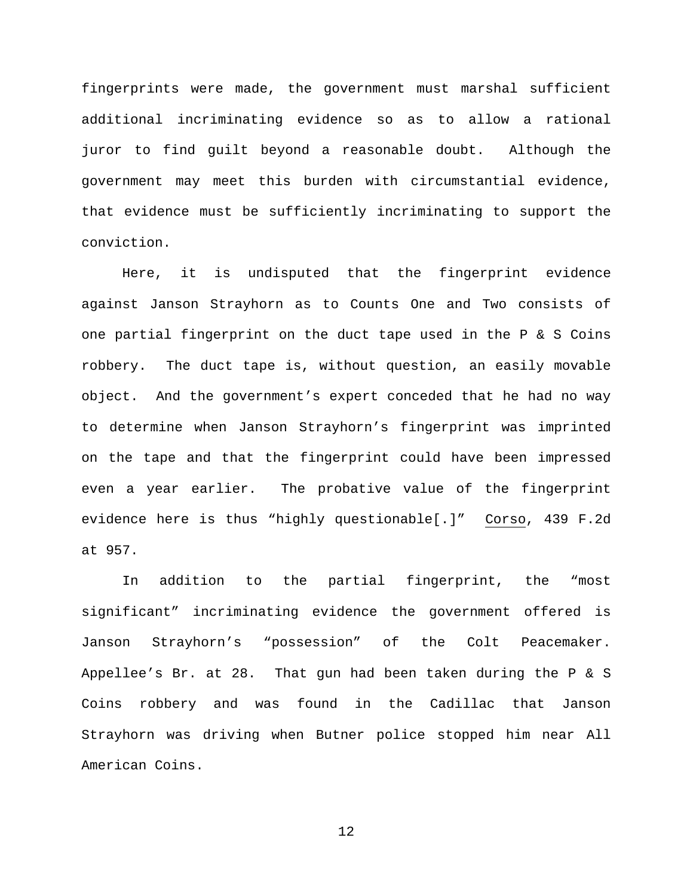fingerprints were made, the government must marshal sufficient additional incriminating evidence so as to allow a rational juror to find guilt beyond a reasonable doubt. Although the government may meet this burden with circumstantial evidence, that evidence must be sufficiently incriminating to support the conviction.

Here, it is undisputed that the fingerprint evidence against Janson Strayhorn as to Counts One and Two consists of one partial fingerprint on the duct tape used in the P & S Coins robbery. The duct tape is, without question, an easily movable object. And the government's expert conceded that he had no way to determine when Janson Strayhorn's fingerprint was imprinted on the tape and that the fingerprint could have been impressed even a year earlier. The probative value of the fingerprint evidence here is thus "highly questionable[.]" Corso, 439 F.2d at 957.

In addition to the partial fingerprint, the "most significant" incriminating evidence the government offered is Janson Strayhorn's "possession" of the Colt Peacemaker. Appellee's Br. at 28. That gun had been taken during the P & S Coins robbery and was found in the Cadillac that Janson Strayhorn was driving when Butner police stopped him near All American Coins.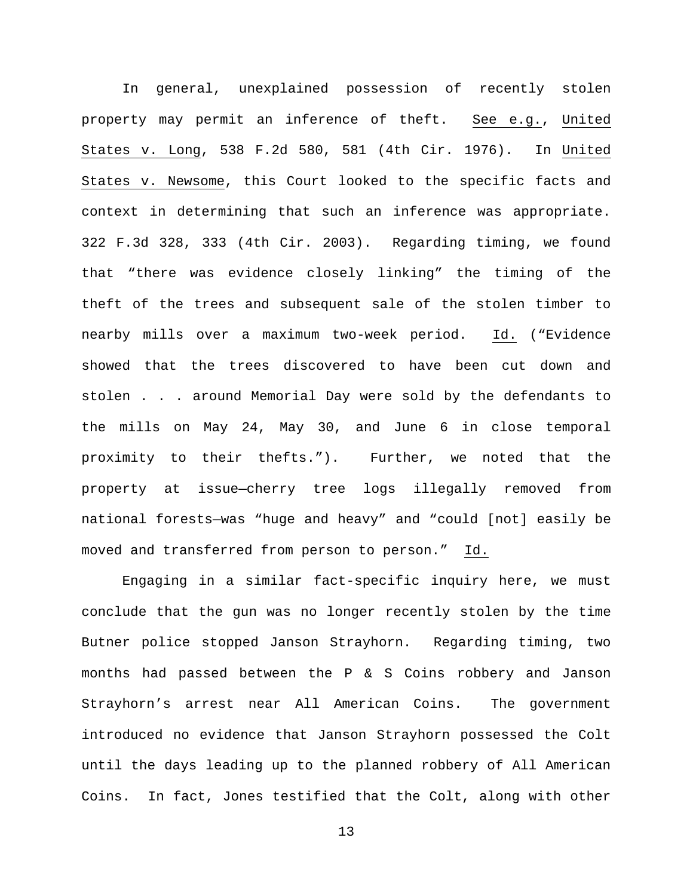In general, unexplained possession of recently stolen property may permit an inference of theft. See e.g., United States v. Long, 538 F.2d 580, 581 (4th Cir. 1976). In United States v. Newsome, this Court looked to the specific facts and context in determining that such an inference was appropriate. 322 F.3d 328, 333 (4th Cir. 2003). Regarding timing, we found that "there was evidence closely linking" the timing of the theft of the trees and subsequent sale of the stolen timber to nearby mills over a maximum two-week period. Id. ("Evidence showed that the trees discovered to have been cut down and stolen . . . around Memorial Day were sold by the defendants to the mills on May 24, May 30, and June 6 in close temporal proximity to their thefts."). Further, we noted that the property at issue—cherry tree logs illegally removed from national forests—was "huge and heavy" and "could [not] easily be moved and transferred from person to person." Id.

Engaging in a similar fact-specific inquiry here, we must conclude that the gun was no longer recently stolen by the time Butner police stopped Janson Strayhorn. Regarding timing, two months had passed between the P & S Coins robbery and Janson Strayhorn's arrest near All American Coins. The government introduced no evidence that Janson Strayhorn possessed the Colt until the days leading up to the planned robbery of All American Coins. In fact, Jones testified that the Colt, along with other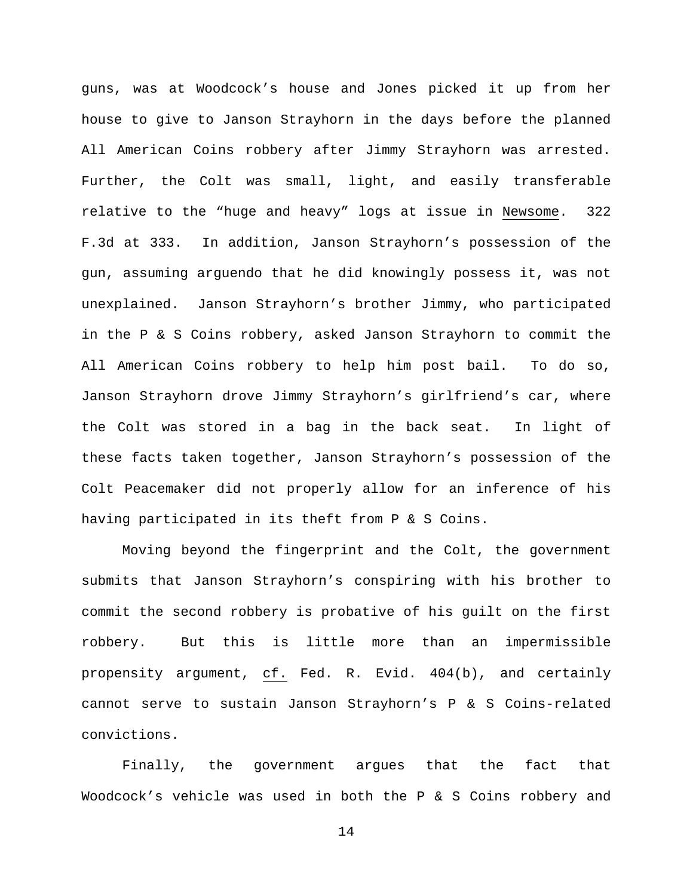guns, was at Woodcock's house and Jones picked it up from her house to give to Janson Strayhorn in the days before the planned All American Coins robbery after Jimmy Strayhorn was arrested. Further, the Colt was small, light, and easily transferable relative to the "huge and heavy" logs at issue in Newsome. 322 F.3d at 333. In addition, Janson Strayhorn's possession of the gun, assuming arguendo that he did knowingly possess it, was not unexplained. Janson Strayhorn's brother Jimmy, who participated in the P & S Coins robbery, asked Janson Strayhorn to commit the All American Coins robbery to help him post bail. To do so, Janson Strayhorn drove Jimmy Strayhorn's girlfriend's car, where the Colt was stored in a bag in the back seat. In light of these facts taken together, Janson Strayhorn's possession of the Colt Peacemaker did not properly allow for an inference of his having participated in its theft from P & S Coins.

Moving beyond the fingerprint and the Colt, the government submits that Janson Strayhorn's conspiring with his brother to commit the second robbery is probative of his guilt on the first robbery. But this is little more than an impermissible propensity argument, cf. Fed. R. Evid. 404(b), and certainly cannot serve to sustain Janson Strayhorn's P & S Coins-related convictions.

Finally, the government argues that the fact that Woodcock's vehicle was used in both the P & S Coins robbery and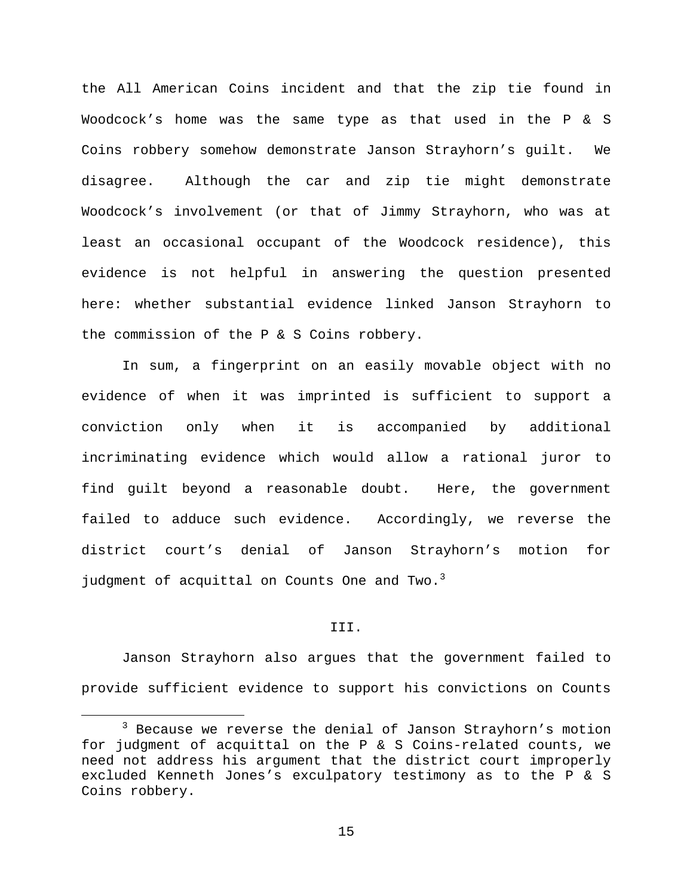the All American Coins incident and that the zip tie found in Woodcock's home was the same type as that used in the P & S Coins robbery somehow demonstrate Janson Strayhorn's guilt. We disagree. Although the car and zip tie might demonstrate Woodcock's involvement (or that of Jimmy Strayhorn, who was at least an occasional occupant of the Woodcock residence), this evidence is not helpful in answering the question presented here: whether substantial evidence linked Janson Strayhorn to the commission of the P & S Coins robbery.

In sum, a fingerprint on an easily movable object with no evidence of when it was imprinted is sufficient to support a conviction only when it is accompanied by additional incriminating evidence which would allow a rational juror to find guilt beyond a reasonable doubt. Here, the government failed to adduce such evidence. Accordingly, we reverse the district court's denial of Janson Strayhorn's motion for judgment of acquittal on Counts One and Two. $3$ 

#### III.

Janson Strayhorn also argues that the government failed to provide sufficient evidence to support his convictions on Counts

 <sup>3</sup> Because we reverse the denial of Janson Strayhorn's motion for judgment of acquittal on the P & S Coins-related counts, we need not address his argument that the district court improperly excluded Kenneth Jones's exculpatory testimony as to the P & S Coins robbery.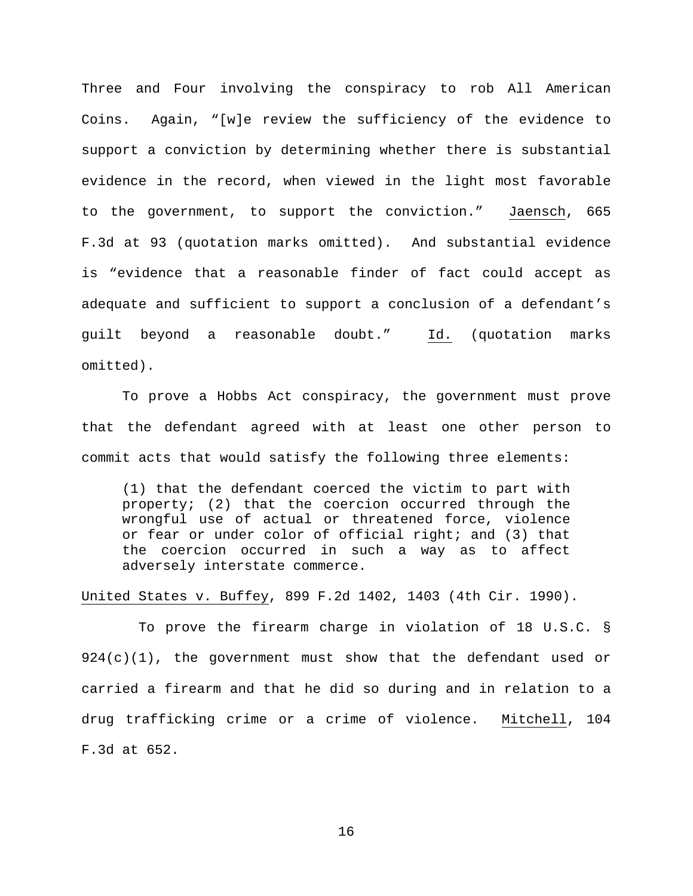Three and Four involving the conspiracy to rob All American Coins. Again, "[w]e review the sufficiency of the evidence to support a conviction by determining whether there is substantial evidence in the record, when viewed in the light most favorable to the government, to support the conviction." Jaensch, 665 F.3d at 93 (quotation marks omitted). And substantial evidence is "evidence that a reasonable finder of fact could accept as adequate and sufficient to support a conclusion of a defendant's guilt beyond a reasonable doubt." Id. (quotation marks omitted).

To prove a Hobbs Act conspiracy, the government must prove that the defendant agreed with at least one other person to commit acts that would satisfy the following three elements:

(1) that the defendant coerced the victim to part with property; (2) that the coercion occurred through the wrongful use of actual or threatened force, violence or fear or under color of official right; and (3) that the coercion occurred in such a way as to affect adversely interstate commerce.

United States v. Buffey, 899 F.2d 1402, 1403 (4th Cir. 1990).

 To prove the firearm charge in violation of 18 U.S.C. §  $924(c)(1)$ , the government must show that the defendant used or carried a firearm and that he did so during and in relation to a drug trafficking crime or a crime of violence. Mitchell, 104 F.3d at 652.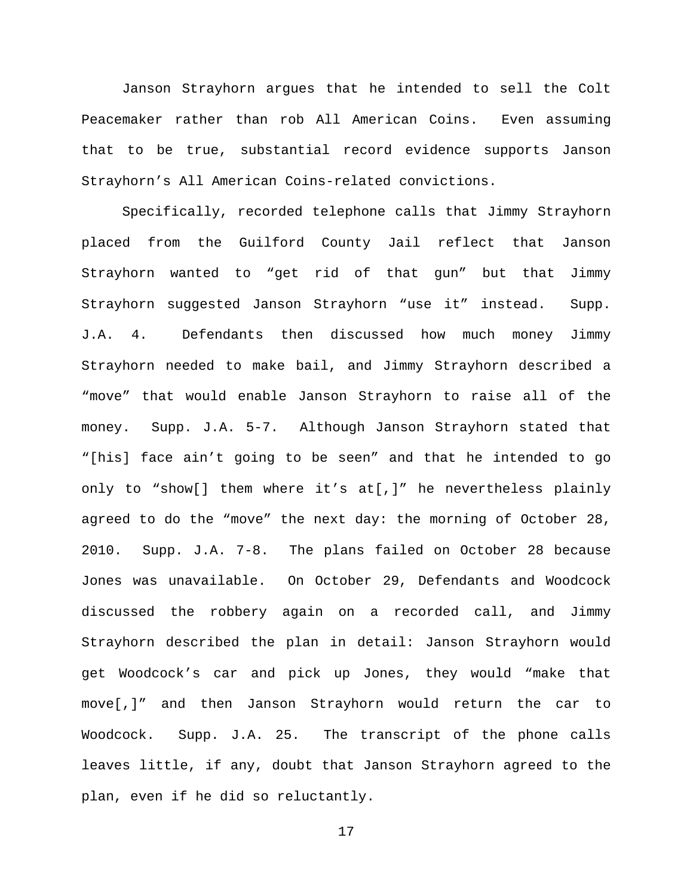Janson Strayhorn argues that he intended to sell the Colt Peacemaker rather than rob All American Coins. Even assuming that to be true, substantial record evidence supports Janson Strayhorn's All American Coins-related convictions.

Specifically, recorded telephone calls that Jimmy Strayhorn placed from the Guilford County Jail reflect that Janson Strayhorn wanted to "get rid of that gun" but that Jimmy Strayhorn suggested Janson Strayhorn "use it" instead. Supp. J.A. 4. Defendants then discussed how much money Jimmy Strayhorn needed to make bail, and Jimmy Strayhorn described a "move" that would enable Janson Strayhorn to raise all of the money. Supp. J.A. 5-7. Although Janson Strayhorn stated that "[his] face ain't going to be seen" and that he intended to go only to "show[] them where it's at[,]" he nevertheless plainly agreed to do the "move" the next day: the morning of October 28, 2010. Supp. J.A. 7-8. The plans failed on October 28 because Jones was unavailable. On October 29, Defendants and Woodcock discussed the robbery again on a recorded call, and Jimmy Strayhorn described the plan in detail: Janson Strayhorn would get Woodcock's car and pick up Jones, they would "make that move[,]" and then Janson Strayhorn would return the car to Woodcock. Supp. J.A. 25. The transcript of the phone calls leaves little, if any, doubt that Janson Strayhorn agreed to the plan, even if he did so reluctantly.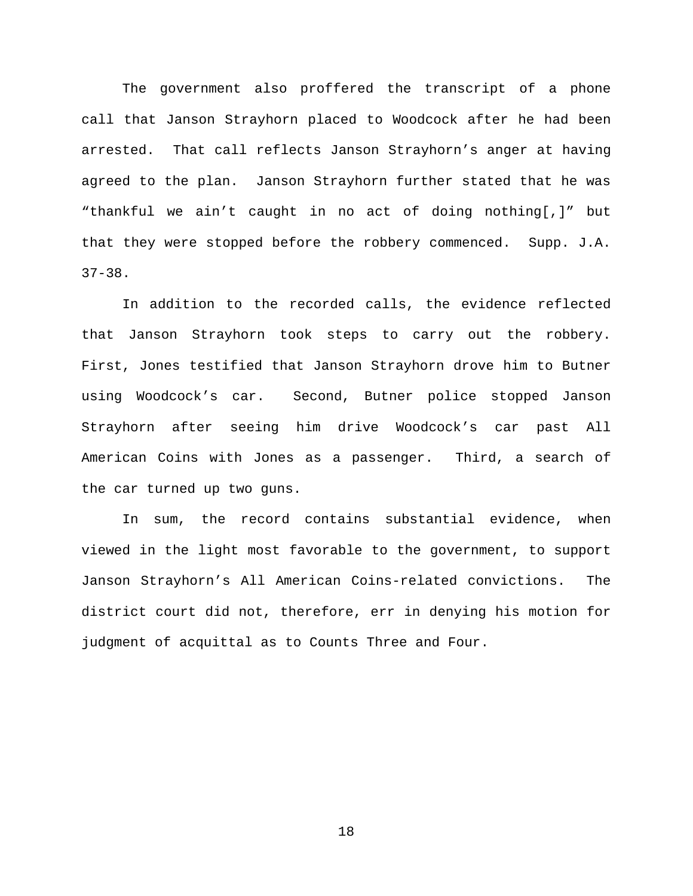The government also proffered the transcript of a phone call that Janson Strayhorn placed to Woodcock after he had been arrested. That call reflects Janson Strayhorn's anger at having agreed to the plan. Janson Strayhorn further stated that he was "thankful we ain't caught in no act of doing nothing[,]" but that they were stopped before the robbery commenced. Supp. J.A. 37-38.

In addition to the recorded calls, the evidence reflected that Janson Strayhorn took steps to carry out the robbery. First, Jones testified that Janson Strayhorn drove him to Butner using Woodcock's car. Second, Butner police stopped Janson Strayhorn after seeing him drive Woodcock's car past All American Coins with Jones as a passenger. Third, a search of the car turned up two guns.

In sum, the record contains substantial evidence, when viewed in the light most favorable to the government, to support Janson Strayhorn's All American Coins-related convictions. The district court did not, therefore, err in denying his motion for judgment of acquittal as to Counts Three and Four.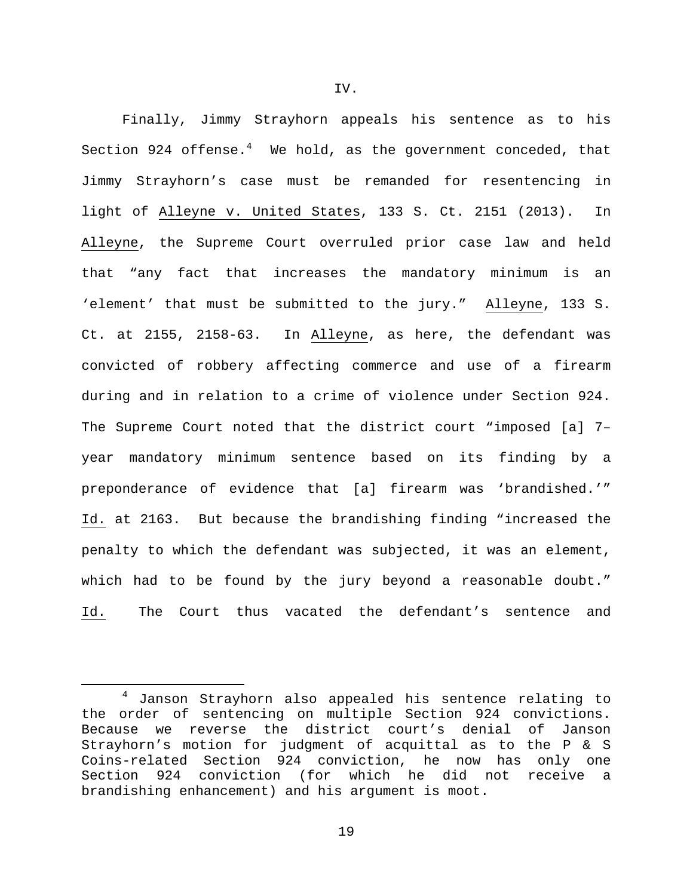Finally, Jimmy Strayhorn appeals his sentence as to his Section 924 offense.<sup>4</sup> We hold, as the government conceded, that Jimmy Strayhorn's case must be remanded for resentencing in light of Alleyne v. United States, 133 S. Ct. 2151 (2013). In Alleyne, the Supreme Court overruled prior case law and held that "any fact that increases the mandatory minimum is an 'element' that must be submitted to the jury." Alleyne, 133 S. Ct. at 2155, 2158-63. In Alleyne, as here, the defendant was convicted of robbery affecting commerce and use of a firearm during and in relation to a crime of violence under Section 924. The Supreme Court noted that the district court "imposed [a] 7– year mandatory minimum sentence based on its finding by a preponderance of evidence that [a] firearm was 'brandished.'" Id. at 2163. But because the brandishing finding "increased the penalty to which the defendant was subjected, it was an element, which had to be found by the jury beyond a reasonable doubt." Id. The Court thus vacated the defendant's sentence and

 <sup>4</sup> Janson Strayhorn also appealed his sentence relating to the order of sentencing on multiple Section 924 convictions. Because we reverse the district court's denial of Janson Strayhorn's motion for judgment of acquittal as to the P & S Coins-related Section 924 conviction, he now has only one 924 conviction (for which he did not receive a brandishing enhancement) and his argument is moot.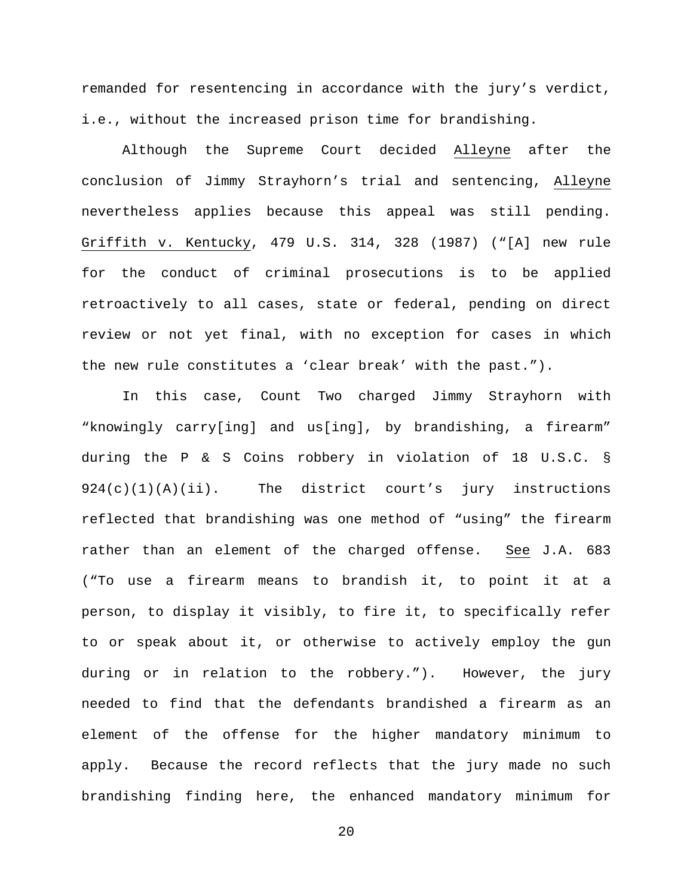remanded for resentencing in accordance with the jury's verdict, i.e., without the increased prison time for brandishing.

Although the Supreme Court decided Alleyne after the conclusion of Jimmy Strayhorn's trial and sentencing, Alleyne nevertheless applies because this appeal was still pending. Griffith v. Kentucky, 479 U.S. 314, 328 (1987) ("[A] new rule for the conduct of criminal prosecutions is to be applied retroactively to all cases, state or federal, pending on direct review or not yet final, with no exception for cases in which the new rule constitutes a 'clear break' with the past.").

In this case, Count Two charged Jimmy Strayhorn with "knowingly carry[ing] and us[ing], by brandishing, a firearm" during the P & S Coins robbery in violation of 18 U.S.C. § 924(c)(1)(A)(ii). The district court's jury instructions reflected that brandishing was one method of "using" the firearm rather than an element of the charged offense. See J.A. 683 ("To use a firearm means to brandish it, to point it at a person, to display it visibly, to fire it, to specifically refer to or speak about it, or otherwise to actively employ the gun during or in relation to the robbery."). However, the jury needed to find that the defendants brandished a firearm as an element of the offense for the higher mandatory minimum to apply. Because the record reflects that the jury made no such brandishing finding here, the enhanced mandatory minimum for